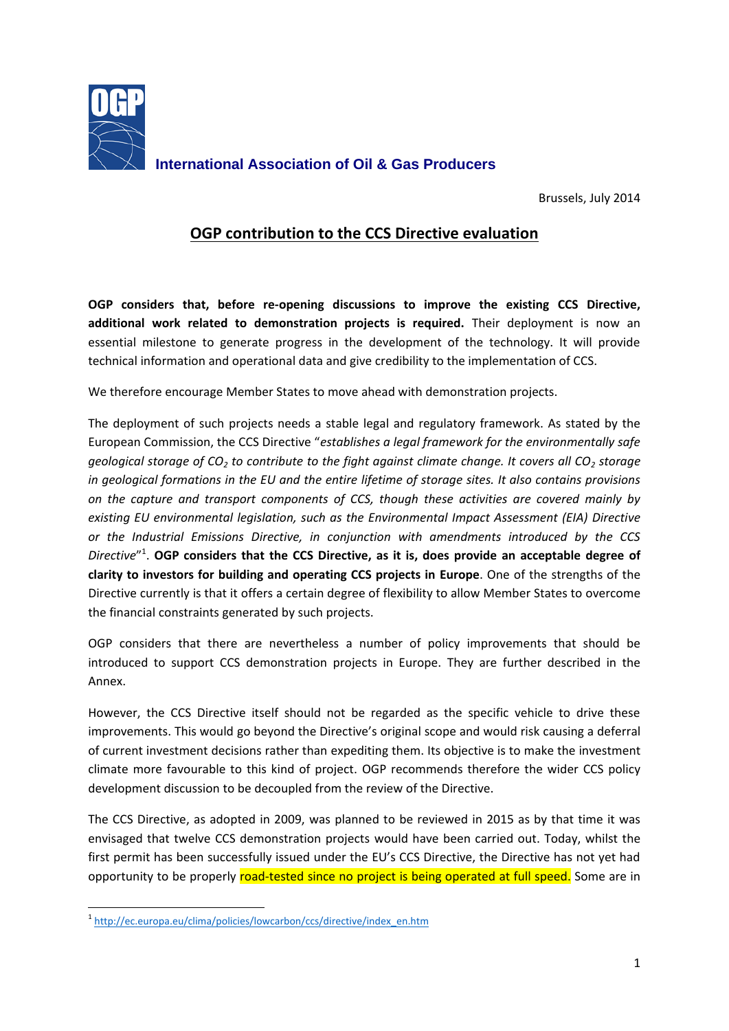

Brussels, July 2014

## **OGP contribution to the CCS Directive evaluation**

**OGP considers that, before re-opening discussions to improve the existing CCS Directive, additional work related to demonstration projects is required.** Their deployment is now an essential milestone to generate progress in the development of the technology. It will provide technical information and operational data and give credibility to the implementation of CCS.

We therefore encourage Member States to move ahead with demonstration projects.

The deployment of such projects needs a stable legal and regulatory framework. As stated by the European Commission, the CCS Directive "*establishes a legal framework for the environmentally safe geological storage of CO<sup>2</sup> to contribute to the fight against climate change. It covers all CO<sup>2</sup> storage in geological formations in the EU and the entire lifetime of storage sites. It also contains provisions on the capture and transport components of CCS, though these activities are covered mainly by existing EU environmental legislation, such as the Environmental Impact Assessment (EIA) Directive or the Industrial Emissions Directive, in conjunction with amendments introduced by the CCS Directive*" 1 . **OGP considers that the CCS Directive, as it is, does provide an acceptable degree of clarity to investors for building and operating CCS projects in Europe**. One of the strengths of the Directive currently is that it offers a certain degree of flexibility to allow Member States to overcome the financial constraints generated by such projects.

OGP considers that there are nevertheless a number of policy improvements that should be introduced to support CCS demonstration projects in Europe. They are further described in the Annex.

However, the CCS Directive itself should not be regarded as the specific vehicle to drive these improvements. This would go beyond the Directive's original scope and would risk causing a deferral of current investment decisions rather than expediting them. Its objective is to make the investment climate more favourable to this kind of project. OGP recommends therefore the wider CCS policy development discussion to be decoupled from the review of the Directive.

The CCS Directive, as adopted in 2009, was planned to be reviewed in 2015 as by that time it was envisaged that twelve CCS demonstration projects would have been carried out. Today, whilst the first permit has been successfully issued under the EU's CCS Directive, the Directive has not yet had opportunity to be properly road-tested since no project is being operated at full speed. Some are in

**<sup>.</sup>** <sup>1</sup>[http://ec.europa.eu/clima/policies/lowcarbon/ccs/directive/index\\_en.htm](http://ec.europa.eu/clima/policies/lowcarbon/ccs/directive/index_en.htm)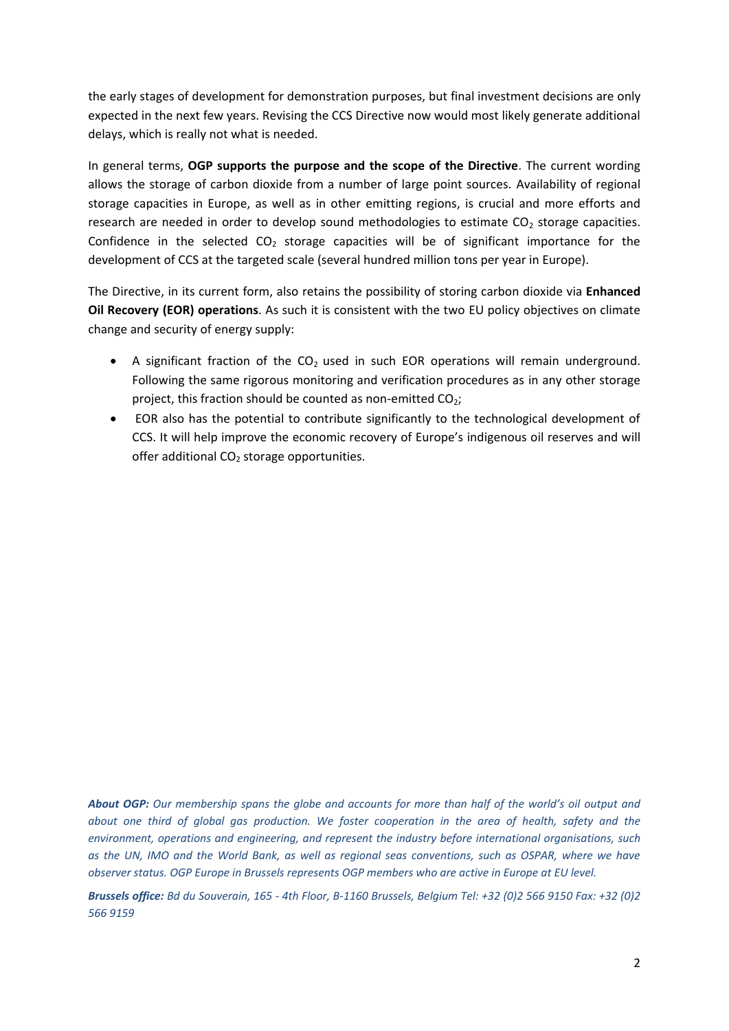the early stages of development for demonstration purposes, but final investment decisions are only expected in the next few years. Revising the CCS Directive now would most likely generate additional delays, which is really not what is needed.

In general terms, **OGP supports the purpose and the scope of the Directive**. The current wording allows the storage of carbon dioxide from a number of large point sources. Availability of regional storage capacities in Europe, as well as in other emitting regions, is crucial and more efforts and research are needed in order to develop sound methodologies to estimate  $CO<sub>2</sub>$  storage capacities. Confidence in the selected  $CO<sub>2</sub>$  storage capacities will be of significant importance for the development of CCS at the targeted scale (several hundred million tons per year in Europe).

The Directive, in its current form, also retains the possibility of storing carbon dioxide via **Enhanced Oil Recovery (EOR) operations**. As such it is consistent with the two EU policy objectives on climate change and security of energy supply:

- A significant fraction of the  $CO<sub>2</sub>$  used in such EOR operations will remain underground. Following the same rigorous monitoring and verification procedures as in any other storage project, this fraction should be counted as non-emitted  $CO<sub>2</sub>$ ;
- EOR also has the potential to contribute significantly to the technological development of CCS. It will help improve the economic recovery of Europe's indigenous oil reserves and will offer additional  $CO<sub>2</sub>$  storage opportunities.

*About OGP: Our membership spans the globe and accounts for more than half of the world's oil output and about one third of global gas production. We foster cooperation in the area of health, safety and the environment, operations and engineering, and represent the industry before international organisations, such as the UN, IMO and the World Bank, as well as regional seas conventions, such as OSPAR, where we have observer status. OGP Europe in Brussels represents OGP members who are active in Europe at EU level.*

*Brussels office: Bd du Souverain, 165 - 4th Floor, B-1160 Brussels, Belgium Tel: +32 (0)2 566 9150 Fax: +32 (0)2 566 9159*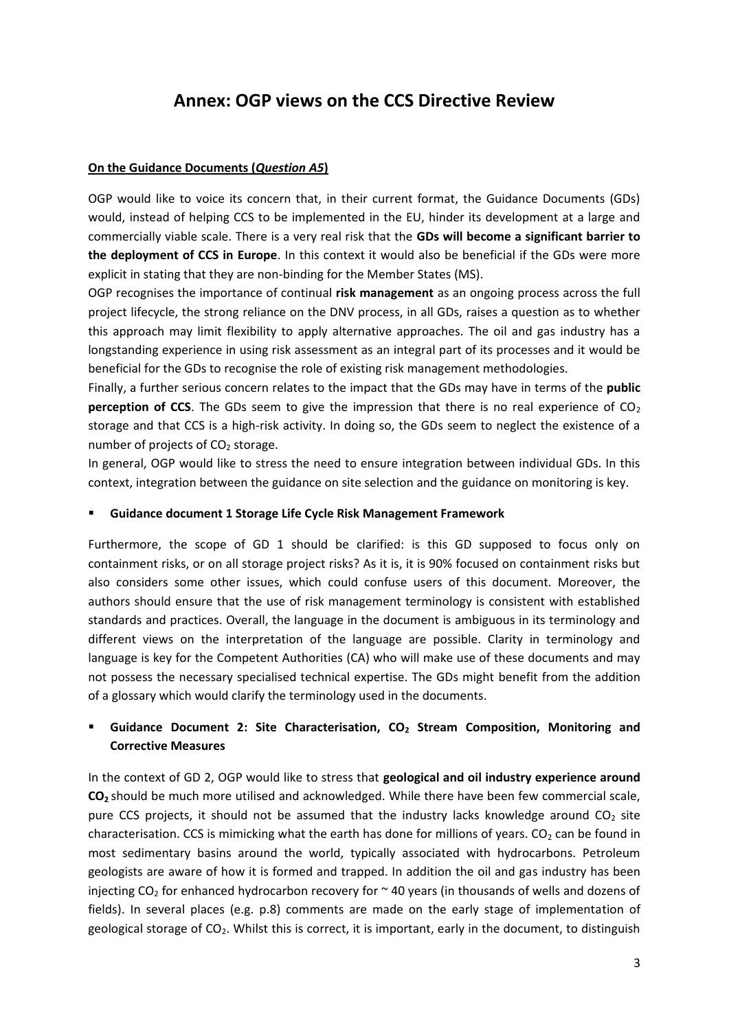# **Annex: OGP views on the CCS Directive Review**

#### **On the Guidance Documents (***Question A5***)**

OGP would like to voice its concern that, in their current format, the Guidance Documents (GDs) would, instead of helping CCS to be implemented in the EU, hinder its development at a large and commercially viable scale. There is a very real risk that the **GDs will become a significant barrier to the deployment of CCS in Europe**. In this context it would also be beneficial if the GDs were more explicit in stating that they are non-binding for the Member States (MS).

OGP recognises the importance of continual **risk management** as an ongoing process across the full project lifecycle, the strong reliance on the DNV process, in all GDs, raises a question as to whether this approach may limit flexibility to apply alternative approaches. The oil and gas industry has a longstanding experience in using risk assessment as an integral part of its processes and it would be beneficial for the GDs to recognise the role of existing risk management methodologies.

Finally, a further serious concern relates to the impact that the GDs may have in terms of the **public perception of CCS**. The GDs seem to give the impression that there is no real experience of CO<sub>2</sub> storage and that CCS is a high-risk activity. In doing so, the GDs seem to neglect the existence of a number of projects of  $CO<sub>2</sub>$  storage.

In general, OGP would like to stress the need to ensure integration between individual GDs. In this context, integration between the guidance on site selection and the guidance on monitoring is key.

#### **Guidance document 1 Storage Life Cycle Risk Management Framework**

Furthermore, the scope of GD 1 should be clarified: is this GD supposed to focus only on containment risks, or on all storage project risks? As it is, it is 90% focused on containment risks but also considers some other issues, which could confuse users of this document. Moreover, the authors should ensure that the use of risk management terminology is consistent with established standards and practices. Overall, the language in the document is ambiguous in its terminology and different views on the interpretation of the language are possible. Clarity in terminology and language is key for the Competent Authorities (CA) who will make use of these documents and may not possess the necessary specialised technical expertise. The GDs might benefit from the addition of a glossary which would clarify the terminology used in the documents.

## **Guidance Document 2: Site Characterisation, CO<sup>2</sup> Stream Composition, Monitoring and Corrective Measures**

In the context of GD 2, OGP would like to stress that **geological and oil industry experience around CO<sup>2</sup>** should be much more utilised and acknowledged. While there have been few commercial scale, pure CCS projects, it should not be assumed that the industry lacks knowledge around  $CO<sub>2</sub>$  site characterisation. CCS is mimicking what the earth has done for millions of years. CO<sub>2</sub> can be found in most sedimentary basins around the world, typically associated with hydrocarbons. Petroleum geologists are aware of how it is formed and trapped. In addition the oil and gas industry has been injecting  $CO<sub>2</sub>$  for enhanced hydrocarbon recovery for  $\sim$  40 years (in thousands of wells and dozens of fields). In several places (e.g. p.8) comments are made on the early stage of implementation of geological storage of  $CO<sub>2</sub>$ . Whilst this is correct, it is important, early in the document, to distinguish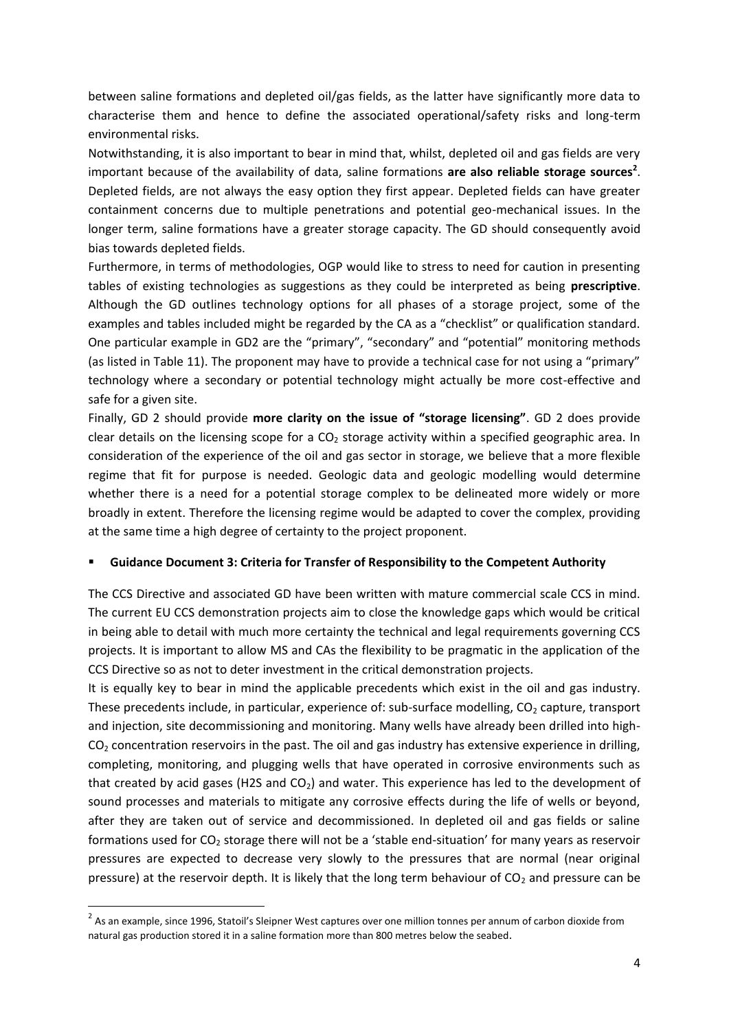between saline formations and depleted oil/gas fields, as the latter have significantly more data to characterise them and hence to define the associated operational/safety risks and long-term environmental risks.

Notwithstanding, it is also important to bear in mind that, whilst, depleted oil and gas fields are very important because of the availability of data, saline formations are also reliable storage sources<sup>2</sup>. Depleted fields, are not always the easy option they first appear. Depleted fields can have greater containment concerns due to multiple penetrations and potential geo-mechanical issues. In the longer term, saline formations have a greater storage capacity. The GD should consequently avoid bias towards depleted fields.

Furthermore, in terms of methodologies, OGP would like to stress to need for caution in presenting tables of existing technologies as suggestions as they could be interpreted as being **prescriptive**. Although the GD outlines technology options for all phases of a storage project, some of the examples and tables included might be regarded by the CA as a "checklist" or qualification standard. One particular example in GD2 are the "primary", "secondary" and "potential" monitoring methods (as listed in Table 11). The proponent may have to provide a technical case for not using a "primary" technology where a secondary or potential technology might actually be more cost-effective and safe for a given site.

Finally, GD 2 should provide **more clarity on the issue of "storage licensing"**. GD 2 does provide clear details on the licensing scope for a  $CO<sub>2</sub>$  storage activity within a specified geographic area. In consideration of the experience of the oil and gas sector in storage, we believe that a more flexible regime that fit for purpose is needed. Geologic data and geologic modelling would determine whether there is a need for a potential storage complex to be delineated more widely or more broadly in extent. Therefore the licensing regime would be adapted to cover the complex, providing at the same time a high degree of certainty to the project proponent.

#### **Guidance Document 3: Criteria for Transfer of Responsibility to the Competent Authority**

The CCS Directive and associated GD have been written with mature commercial scale CCS in mind. The current EU CCS demonstration projects aim to close the knowledge gaps which would be critical in being able to detail with much more certainty the technical and legal requirements governing CCS projects. It is important to allow MS and CAs the flexibility to be pragmatic in the application of the CCS Directive so as not to deter investment in the critical demonstration projects.

It is equally key to bear in mind the applicable precedents which exist in the oil and gas industry. These precedents include, in particular, experience of: sub-surface modelling,  $CO<sub>2</sub>$  capture, transport and injection, site decommissioning and monitoring. Many wells have already been drilled into high-CO<sub>2</sub> concentration reservoirs in the past. The oil and gas industry has extensive experience in drilling, completing, monitoring, and plugging wells that have operated in corrosive environments such as that created by acid gases (H2S and  $CO<sub>2</sub>$ ) and water. This experience has led to the development of sound processes and materials to mitigate any corrosive effects during the life of wells or beyond, after they are taken out of service and decommissioned. In depleted oil and gas fields or saline formations used for  $CO<sub>2</sub>$  storage there will not be a 'stable end-situation' for many years as reservoir pressures are expected to decrease very slowly to the pressures that are normal (near original pressure) at the reservoir depth. It is likely that the long term behaviour of  $CO<sub>2</sub>$  and pressure can be

1

 $^2$  As an example, since 1996, Statoil's Sleipner West captures over one million tonnes per annum of carbon dioxide from natural gas production stored it in a saline formation more than 800 metres below the seabed.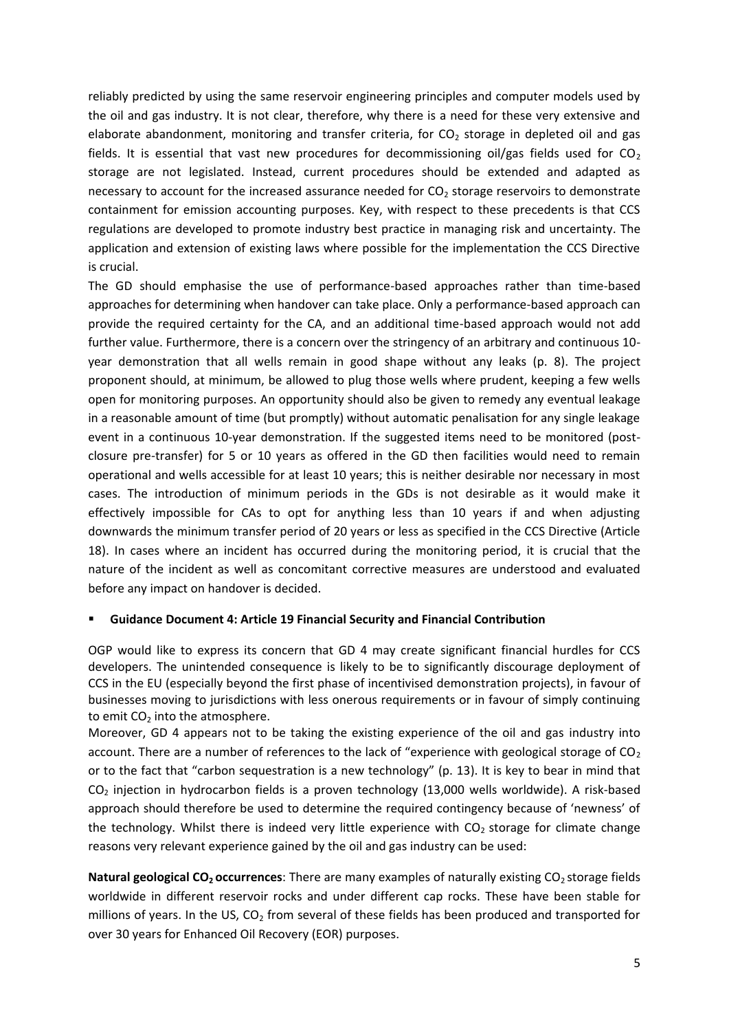reliably predicted by using the same reservoir engineering principles and computer models used by the oil and gas industry. It is not clear, therefore, why there is a need for these very extensive and elaborate abandonment, monitoring and transfer criteria, for  $CO<sub>2</sub>$  storage in depleted oil and gas fields. It is essential that vast new procedures for decommissioning oil/gas fields used for  $CO<sub>2</sub>$ storage are not legislated. Instead, current procedures should be extended and adapted as necessary to account for the increased assurance needed for  $CO<sub>2</sub>$  storage reservoirs to demonstrate containment for emission accounting purposes. Key, with respect to these precedents is that CCS regulations are developed to promote industry best practice in managing risk and uncertainty. The application and extension of existing laws where possible for the implementation the CCS Directive is crucial.

The GD should emphasise the use of performance-based approaches rather than time-based approaches for determining when handover can take place. Only a performance-based approach can provide the required certainty for the CA, and an additional time-based approach would not add further value. Furthermore, there is a concern over the stringency of an arbitrary and continuous 10 year demonstration that all wells remain in good shape without any leaks (p. 8). The project proponent should, at minimum, be allowed to plug those wells where prudent, keeping a few wells open for monitoring purposes. An opportunity should also be given to remedy any eventual leakage in a reasonable amount of time (but promptly) without automatic penalisation for any single leakage event in a continuous 10-year demonstration. If the suggested items need to be monitored (postclosure pre-transfer) for 5 or 10 years as offered in the GD then facilities would need to remain operational and wells accessible for at least 10 years; this is neither desirable nor necessary in most cases. The introduction of minimum periods in the GDs is not desirable as it would make it effectively impossible for CAs to opt for anything less than 10 years if and when adjusting downwards the minimum transfer period of 20 years or less as specified in the CCS Directive (Article 18). In cases where an incident has occurred during the monitoring period, it is crucial that the nature of the incident as well as concomitant corrective measures are understood and evaluated before any impact on handover is decided.

#### **Guidance Document 4: Article 19 Financial Security and Financial Contribution**

OGP would like to express its concern that GD 4 may create significant financial hurdles for CCS developers. The unintended consequence is likely to be to significantly discourage deployment of CCS in the EU (especially beyond the first phase of incentivised demonstration projects), in favour of businesses moving to jurisdictions with less onerous requirements or in favour of simply continuing to emit  $CO<sub>2</sub>$  into the atmosphere.

Moreover, GD 4 appears not to be taking the existing experience of the oil and gas industry into account. There are a number of references to the lack of "experience with geological storage of  $CO<sub>2</sub>$ or to the fact that "carbon sequestration is a new technology" (p. 13). It is key to bear in mind that CO<sub>2</sub> injection in hydrocarbon fields is a proven technology (13,000 wells worldwide). A risk-based approach should therefore be used to determine the required contingency because of 'newness' of the technology. Whilst there is indeed very little experience with  $CO<sub>2</sub>$  storage for climate change reasons very relevant experience gained by the oil and gas industry can be used:

**Natural geological CO<sub>2</sub> occurrences**: There are many examples of naturally existing CO<sub>2</sub> storage fields worldwide in different reservoir rocks and under different cap rocks. These have been stable for millions of years. In the US,  $CO<sub>2</sub>$  from several of these fields has been produced and transported for over 30 years for Enhanced Oil Recovery (EOR) purposes.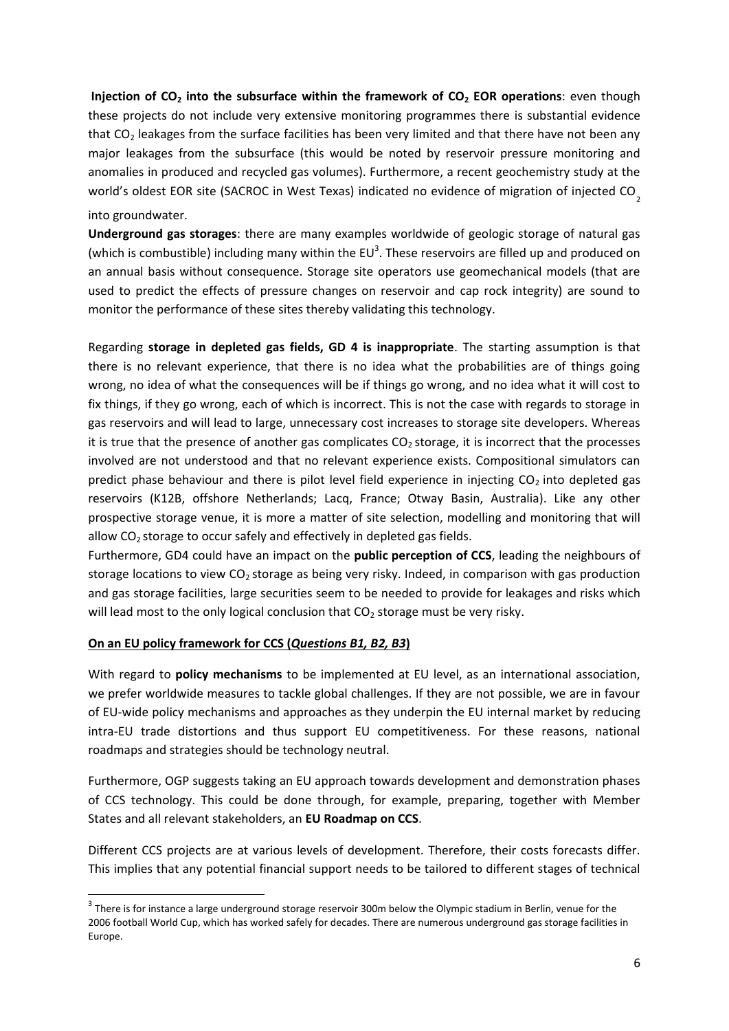**Injection of CO<sup>2</sup> into the subsurface within the framework of CO<sup>2</sup> EOR operations**: even though these projects do not include very extensive monitoring programmes there is substantial evidence that  $CO<sub>2</sub>$  leakages from the surface facilities has been very limited and that there have not been any major leakages from the subsurface (this would be noted by reservoir pressure monitoring and anomalies in produced and recycled gas volumes). Furthermore, a recent geochemistry study at the world's oldest EOR site (SACROC in West Texas) indicated no evidence of migration of injected CO<sub>2</sub> into groundwater.

**Underground gas storages**: there are many examples worldwide of geologic storage of natural gas (which is combustible) including many within the  $EU^3$ . These reservoirs are filled up and produced on an annual basis without consequence. Storage site operators use geomechanical models (that are used to predict the effects of pressure changes on reservoir and cap rock integrity) are sound to monitor the performance of these sites thereby validating this technology.

Regarding **storage in depleted gas fields, GD 4 is inappropriate**. The starting assumption is that there is no relevant experience, that there is no idea what the probabilities are of things going wrong, no idea of what the consequences will be if things go wrong, and no idea what it will cost to fix things, if they go wrong, each of which is incorrect. This is not the case with regards to storage in gas reservoirs and will lead to large, unnecessary cost increases to storage site developers. Whereas it is true that the presence of another gas complicates  $CO<sub>2</sub>$  storage, it is incorrect that the processes involved are not understood and that no relevant experience exists. Compositional simulators can predict phase behaviour and there is pilot level field experience in injecting  $CO<sub>2</sub>$  into depleted gas reservoirs (K12B, offshore Netherlands; Lacq, France; Otway Basin, Australia). Like any other prospective storage venue, it is more a matter of site selection, modelling and monitoring that will allow  $CO<sub>2</sub>$  storage to occur safely and effectively in depleted gas fields.

Furthermore, GD4 could have an impact on the **public perception of CCS**, leading the neighbours of storage locations to view  $CO<sub>2</sub>$  storage as being very risky. Indeed, in comparison with gas production and gas storage facilities, large securities seem to be needed to provide for leakages and risks which will lead most to the only logical conclusion that  $CO<sub>2</sub>$  storage must be very risky.

## **On an EU policy framework for CCS (***Questions B1, B2, B3***)**

1

With regard to **policy mechanisms** to be implemented at EU level, as an international association, we prefer worldwide measures to tackle global challenges. If they are not possible, we are in favour of EU-wide policy mechanisms and approaches as they underpin the EU internal market by reducing intra-EU trade distortions and thus support EU competitiveness. For these reasons, national roadmaps and strategies should be technology neutral.

Furthermore, OGP suggests taking an EU approach towards development and demonstration phases of CCS technology. This could be done through, for example, preparing, together with Member States and all relevant stakeholders, an **EU Roadmap on CCS**.

Different CCS projects are at various levels of development. Therefore, their costs forecasts differ. This implies that any potential financial support needs to be tailored to different stages of technical

 $3$  There is for instance a large underground storage reservoir 300m below the Olympic stadium in Berlin, venue for the 2006 football World Cup, which has worked safely for decades. There are numerous underground gas storage facilities in Europe.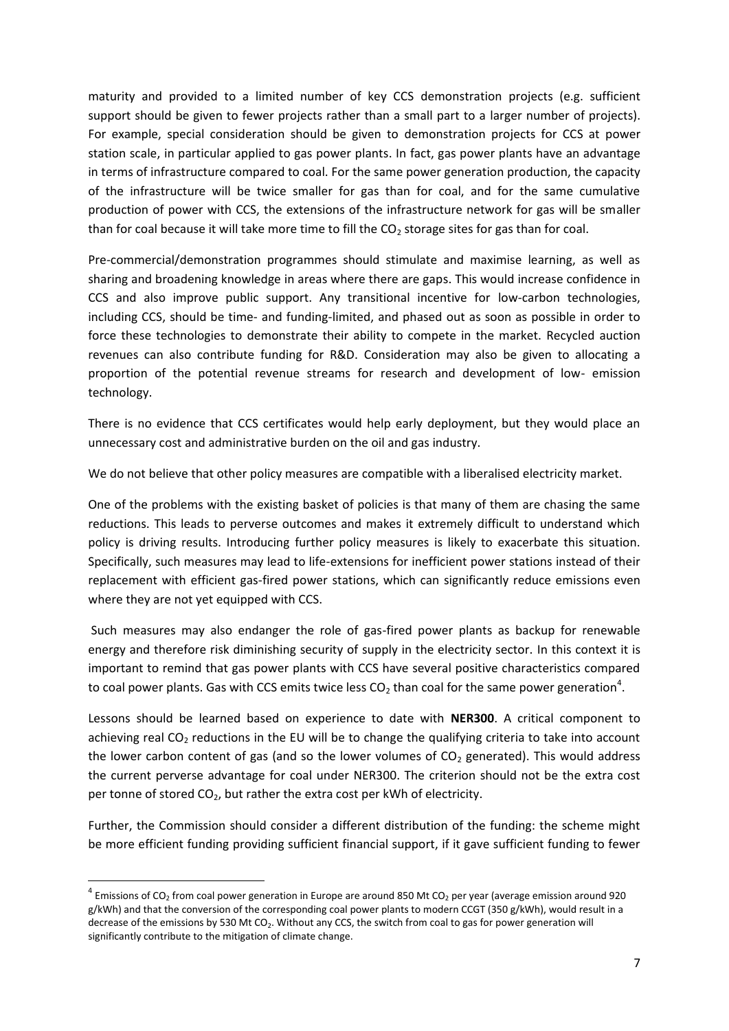maturity and provided to a limited number of key CCS demonstration projects (e.g. sufficient support should be given to fewer projects rather than a small part to a larger number of projects). For example, special consideration should be given to demonstration projects for CCS at power station scale, in particular applied to gas power plants. In fact, gas power plants have an advantage in terms of infrastructure compared to coal. For the same power generation production, the capacity of the infrastructure will be twice smaller for gas than for coal, and for the same cumulative production of power with CCS, the extensions of the infrastructure network for gas will be smaller than for coal because it will take more time to fill the  $CO<sub>2</sub>$  storage sites for gas than for coal.

Pre-commercial/demonstration programmes should stimulate and maximise learning, as well as sharing and broadening knowledge in areas where there are gaps. This would increase confidence in CCS and also improve public support. Any transitional incentive for low-carbon technologies, including CCS, should be time- and funding-limited, and phased out as soon as possible in order to force these technologies to demonstrate their ability to compete in the market. Recycled auction revenues can also contribute funding for R&D. Consideration may also be given to allocating a proportion of the potential revenue streams for research and development of low- emission technology.

There is no evidence that CCS certificates would help early deployment, but they would place an unnecessary cost and administrative burden on the oil and gas industry.

We do not believe that other policy measures are compatible with a liberalised electricity market.

One of the problems with the existing basket of policies is that many of them are chasing the same reductions. This leads to perverse outcomes and makes it extremely difficult to understand which policy is driving results. Introducing further policy measures is likely to exacerbate this situation. Specifically, such measures may lead to life-extensions for inefficient power stations instead of their replacement with efficient gas-fired power stations, which can significantly reduce emissions even where they are not yet equipped with CCS.

Such measures may also endanger the role of gas-fired power plants as backup for renewable energy and therefore risk diminishing security of supply in the electricity sector. In this context it is important to remind that gas power plants with CCS have several positive characteristics compared to coal power plants. Gas with CCS emits twice less CO<sub>2</sub> than coal for the same power generation<sup>4</sup>.

Lessons should be learned based on experience to date with **NER300**. A critical component to achieving real  $CO<sub>2</sub>$  reductions in the EU will be to change the qualifying criteria to take into account the lower carbon content of gas (and so the lower volumes of  $CO<sub>2</sub>$  generated). This would address the current perverse advantage for coal under NER300. The criterion should not be the extra cost per tonne of stored  $CO<sub>2</sub>$ , but rather the extra cost per kWh of electricity.

Further, the Commission should consider a different distribution of the funding: the scheme might be more efficient funding providing sufficient financial support, if it gave sufficient funding to fewer

**.** 

 $^4$  Emissions of CO<sub>2</sub> from coal power generation in Europe are around 850 Mt CO<sub>2</sub> per year (average emission around 920 g/kWh) and that the conversion of the corresponding coal power plants to modern CCGT (350 g/kWh), would result in a decrease of the emissions by 530 Mt CO<sub>2</sub>. Without any CCS, the switch from coal to gas for power generation will significantly contribute to the mitigation of climate change.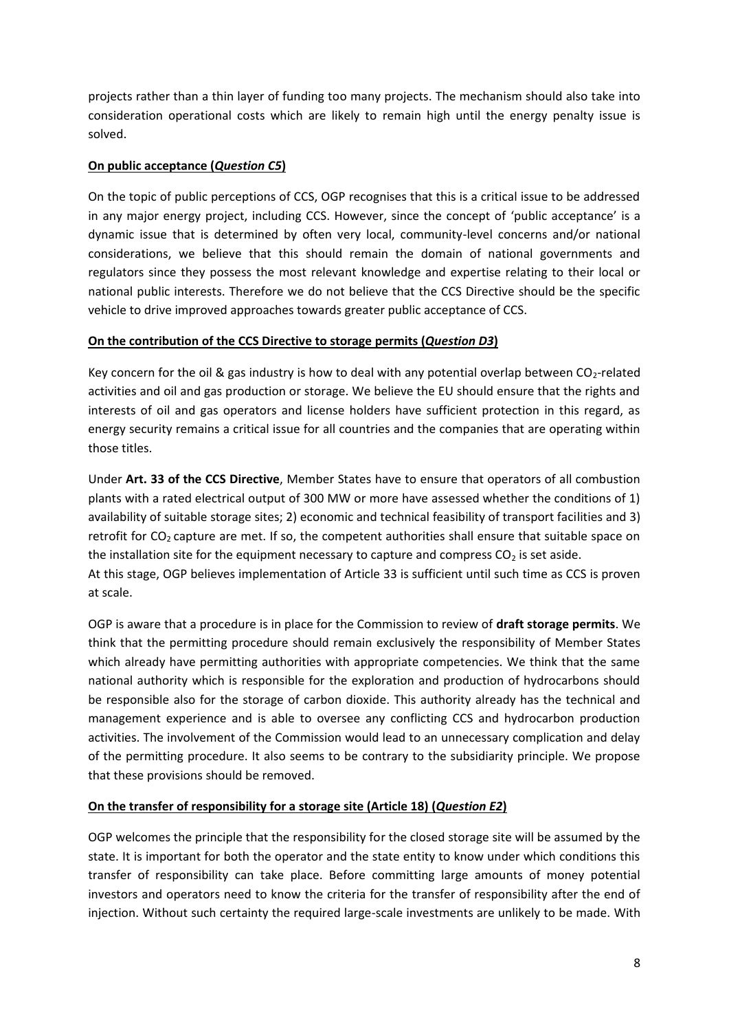projects rather than a thin layer of funding too many projects. The mechanism should also take into consideration operational costs which are likely to remain high until the energy penalty issue is solved.

#### **On public acceptance (***Question C5***)**

On the topic of public perceptions of CCS, OGP recognises that this is a critical issue to be addressed in any major energy project, including CCS. However, since the concept of 'public acceptance' is a dynamic issue that is determined by often very local, community-level concerns and/or national considerations, we believe that this should remain the domain of national governments and regulators since they possess the most relevant knowledge and expertise relating to their local or national public interests. Therefore we do not believe that the CCS Directive should be the specific vehicle to drive improved approaches towards greater public acceptance of CCS.

## **On the contribution of the CCS Directive to storage permits (***Question D3***)**

Key concern for the oil & gas industry is how to deal with any potential overlap between  $CO_2$ -related activities and oil and gas production or storage. We believe the EU should ensure that the rights and interests of oil and gas operators and license holders have sufficient protection in this regard, as energy security remains a critical issue for all countries and the companies that are operating within those titles.

Under **Art. 33 of the CCS Directive**, Member States have to ensure that operators of all combustion plants with a rated electrical output of 300 MW or more have assessed whether the conditions of 1) availability of suitable storage sites; 2) economic and technical feasibility of transport facilities and 3) retrofit for  $CO<sub>2</sub>$  capture are met. If so, the competent authorities shall ensure that suitable space on the installation site for the equipment necessary to capture and compress  $CO<sub>2</sub>$  is set aside. At this stage, OGP believes implementation of Article 33 is sufficient until such time as CCS is proven at scale.

OGP is aware that a procedure is in place for the Commission to review of **draft storage permits**. We think that the permitting procedure should remain exclusively the responsibility of Member States which already have permitting authorities with appropriate competencies. We think that the same national authority which is responsible for the exploration and production of hydrocarbons should be responsible also for the storage of carbon dioxide. This authority already has the technical and management experience and is able to oversee any conflicting CCS and hydrocarbon production activities. The involvement of the Commission would lead to an unnecessary complication and delay of the permitting procedure. It also seems to be contrary to the subsidiarity principle. We propose that these provisions should be removed.

## **On the transfer of responsibility for a storage site (Article 18) (***Question E2***)**

OGP welcomes the principle that the responsibility for the closed storage site will be assumed by the state. It is important for both the operator and the state entity to know under which conditions this transfer of responsibility can take place. Before committing large amounts of money potential investors and operators need to know the criteria for the transfer of responsibility after the end of injection. Without such certainty the required large-scale investments are unlikely to be made. With